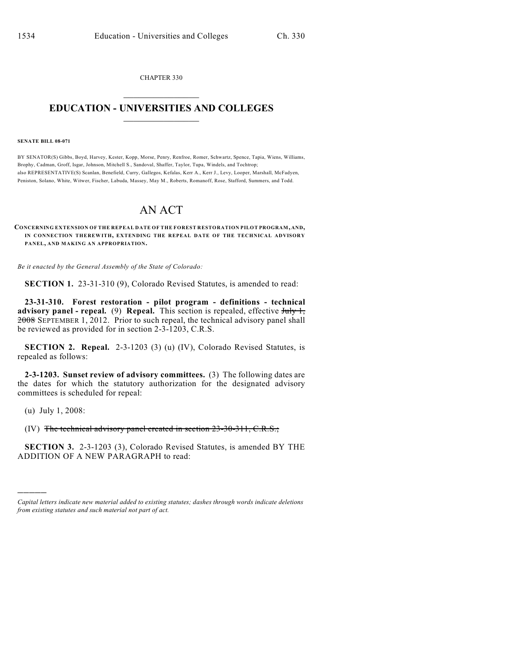CHAPTER 330  $\mathcal{L}_\text{max}$  . The set of the set of the set of the set of the set of the set of the set of the set of the set of the set of the set of the set of the set of the set of the set of the set of the set of the set of the set

## **EDUCATION - UNIVERSITIES AND COLLEGES**  $\_$

## **SENATE BILL 08-071**

BY SENATOR(S) Gibbs, Boyd, Harvey, Kester, Kopp, Morse, Penry, Renfroe, Romer, Schwartz, Spence, Tapia, Wiens, Williams, Brophy, Cadman, Groff, Isgar, Johnson, Mitchell S., Sandoval, Shaffer, Taylor, Tupa, Windels, and Tochtrop; also REPRESENTATIVE(S) Scanlan, Benefield, Curry, Gallegos, Kefalas, Kerr A., Kerr J., Levy, Looper, Marshall, McFadyen, Peniston, Solano, White, Witwer, Fischer, Labuda, Massey, May M., Roberts, Romanoff, Rose, Stafford, Summers, and Todd.

## AN ACT

## **CONCERNING EXTENSION OF THE REPEAL DATE OF THE FOREST RESTORATION PILOT PROGRAM, AND, IN CONNECTION THEREWITH, EXTENDING THE REPEAL DATE OF THE TECHNICAL ADVISORY PANEL, AND MAKING AN APPROPRIATION.**

*Be it enacted by the General Assembly of the State of Colorado:*

**SECTION 1.** 23-31-310 (9), Colorado Revised Statutes, is amended to read:

**23-31-310. Forest restoration - pilot program - definitions - technical advisory panel - repeal.** (9) **Repeal.** This section is repealed, effective  $\frac{\text{Hd}y}{\text{Hd}y}$ 2008 SEPTEMBER 1, 2012. Prior to such repeal, the technical advisory panel shall be reviewed as provided for in section 2-3-1203, C.R.S.

**SECTION 2. Repeal.** 2-3-1203 (3) (u) (IV), Colorado Revised Statutes, is repealed as follows:

**2-3-1203. Sunset review of advisory committees.** (3) The following dates are the dates for which the statutory authorization for the designated advisory committees is scheduled for repeal:

(u) July 1, 2008:

)))))

(IV) The technical advisory panel created in section 23-30-311, C.R.S.;

**SECTION 3.** 2-3-1203 (3), Colorado Revised Statutes, is amended BY THE ADDITION OF A NEW PARAGRAPH to read:

*Capital letters indicate new material added to existing statutes; dashes through words indicate deletions from existing statutes and such material not part of act.*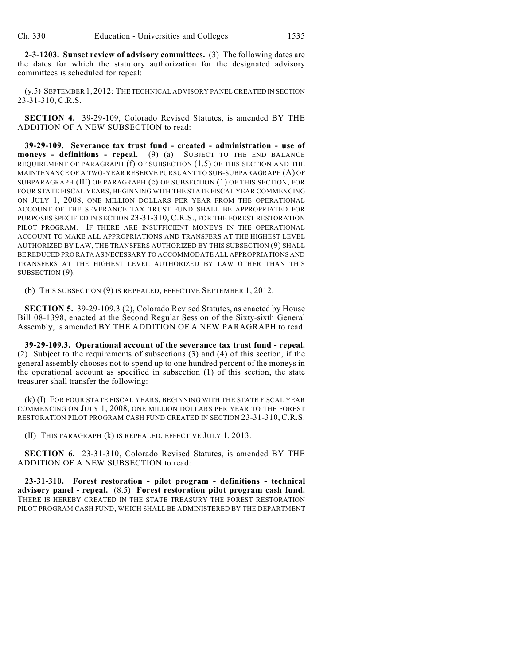**2-3-1203. Sunset review of advisory committees.** (3) The following dates are the dates for which the statutory authorization for the designated advisory committees is scheduled for repeal:

(y.5) SEPTEMBER 1, 2012: THE TECHNICAL ADVISORY PANEL CREATED IN SECTION 23-31-310, C.R.S.

**SECTION 4.** 39-29-109, Colorado Revised Statutes, is amended BY THE ADDITION OF A NEW SUBSECTION to read:

**39-29-109. Severance tax trust fund - created - administration - use of moneys - definitions - repeal.** (9) (a) SUBJECT TO THE END BALANCE REQUIREMENT OF PARAGRAPH (f) OF SUBSECTION (1.5) OF THIS SECTION AND THE MAINTENANCE OF A TWO-YEAR RESERVE PURSUANT TO SUB-SUBPARAGRAPH (A) OF SUBPARAGRAPH (III) OF PARAGRAPH (c) OF SUBSECTION (1) OF THIS SECTION, FOR FOUR STATE FISCAL YEARS, BEGINNING WITH THE STATE FISCAL YEAR COMMENCING ON JULY 1, 2008, ONE MILLION DOLLARS PER YEAR FROM THE OPERATIONAL ACCOUNT OF THE SEVERANCE TAX TRUST FUND SHALL BE APPROPRIATED FOR PURPOSES SPECIFIED IN SECTION 23-31-310, C.R.S., FOR THE FOREST RESTORATION PILOT PROGRAM. IF THERE ARE INSUFFICIENT MONEYS IN THE OPERATIONAL ACCOUNT TO MAKE ALL APPROPRIATIONS AND TRANSFERS AT THE HIGHEST LEVEL AUTHORIZED BY LAW, THE TRANSFERS AUTHORIZED BY THIS SUBSECTION (9) SHALL BE REDUCED PRO RATA AS NECESSARY TO ACCOMMODATE ALL APPROPRIATIONS AND TRANSFERS AT THE HIGHEST LEVEL AUTHORIZED BY LAW OTHER THAN THIS SUBSECTION (9).

(b) THIS SUBSECTION (9) IS REPEALED, EFFECTIVE SEPTEMBER 1, 2012.

**SECTION 5.** 39-29-109.3 (2), Colorado Revised Statutes, as enacted by House Bill 08-1398, enacted at the Second Regular Session of the Sixty-sixth General Assembly, is amended BY THE ADDITION OF A NEW PARAGRAPH to read:

**39-29-109.3. Operational account of the severance tax trust fund - repeal.** (2) Subject to the requirements of subsections (3) and (4) of this section, if the general assembly chooses not to spend up to one hundred percent of the moneys in the operational account as specified in subsection (1) of this section, the state treasurer shall transfer the following:

(k) (I) FOR FOUR STATE FISCAL YEARS, BEGINNING WITH THE STATE FISCAL YEAR COMMENCING ON JULY 1, 2008, ONE MILLION DOLLARS PER YEAR TO THE FOREST RESTORATION PILOT PROGRAM CASH FUND CREATED IN SECTION 23-31-310, C.R.S.

(II) THIS PARAGRAPH (k) IS REPEALED, EFFECTIVE JULY 1, 2013.

**SECTION 6.** 23-31-310, Colorado Revised Statutes, is amended BY THE ADDITION OF A NEW SUBSECTION to read:

**23-31-310. Forest restoration - pilot program - definitions - technical advisory panel - repeal.** (8.5) **Forest restoration pilot program cash fund.** THERE IS HEREBY CREATED IN THE STATE TREASURY THE FOREST RESTORATION PILOT PROGRAM CASH FUND, WHICH SHALL BE ADMINISTERED BY THE DEPARTMENT